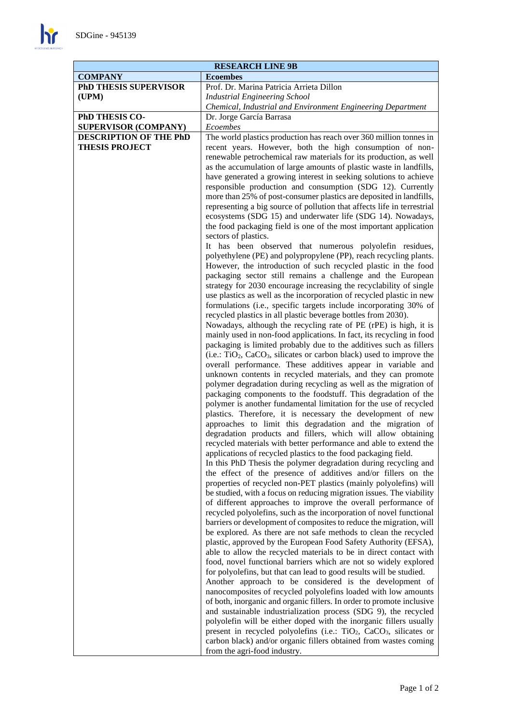$\mathbf{h}$ 

| <b>RESEARCH LINE 9B</b>       |                                                                                                                                                                                                                                                                                                                                                                                                                                                                                                                                                                                                                                                                                                                                                                                                                                                                                                                                                                                                                                                                                                                                                                                                                                                                                                                                                                                                                                                                                     |
|-------------------------------|-------------------------------------------------------------------------------------------------------------------------------------------------------------------------------------------------------------------------------------------------------------------------------------------------------------------------------------------------------------------------------------------------------------------------------------------------------------------------------------------------------------------------------------------------------------------------------------------------------------------------------------------------------------------------------------------------------------------------------------------------------------------------------------------------------------------------------------------------------------------------------------------------------------------------------------------------------------------------------------------------------------------------------------------------------------------------------------------------------------------------------------------------------------------------------------------------------------------------------------------------------------------------------------------------------------------------------------------------------------------------------------------------------------------------------------------------------------------------------------|
| <b>COMPANY</b>                | <b>Ecoembes</b>                                                                                                                                                                                                                                                                                                                                                                                                                                                                                                                                                                                                                                                                                                                                                                                                                                                                                                                                                                                                                                                                                                                                                                                                                                                                                                                                                                                                                                                                     |
| <b>PhD THESIS SUPERVISOR</b>  | Prof. Dr. Marina Patricia Arrieta Dillon                                                                                                                                                                                                                                                                                                                                                                                                                                                                                                                                                                                                                                                                                                                                                                                                                                                                                                                                                                                                                                                                                                                                                                                                                                                                                                                                                                                                                                            |
| (UPM)                         | <b>Industrial Engineering School</b>                                                                                                                                                                                                                                                                                                                                                                                                                                                                                                                                                                                                                                                                                                                                                                                                                                                                                                                                                                                                                                                                                                                                                                                                                                                                                                                                                                                                                                                |
|                               | Chemical, Industrial and Environment Engineering Department                                                                                                                                                                                                                                                                                                                                                                                                                                                                                                                                                                                                                                                                                                                                                                                                                                                                                                                                                                                                                                                                                                                                                                                                                                                                                                                                                                                                                         |
| PhD THESIS CO-                | Dr. Jorge García Barrasa                                                                                                                                                                                                                                                                                                                                                                                                                                                                                                                                                                                                                                                                                                                                                                                                                                                                                                                                                                                                                                                                                                                                                                                                                                                                                                                                                                                                                                                            |
| SUPERVISOR (COMPANY)          | Ecoembes                                                                                                                                                                                                                                                                                                                                                                                                                                                                                                                                                                                                                                                                                                                                                                                                                                                                                                                                                                                                                                                                                                                                                                                                                                                                                                                                                                                                                                                                            |
| <b>DESCRIPTION OF THE PhD</b> | The world plastics production has reach over 360 million tonnes in                                                                                                                                                                                                                                                                                                                                                                                                                                                                                                                                                                                                                                                                                                                                                                                                                                                                                                                                                                                                                                                                                                                                                                                                                                                                                                                                                                                                                  |
|                               |                                                                                                                                                                                                                                                                                                                                                                                                                                                                                                                                                                                                                                                                                                                                                                                                                                                                                                                                                                                                                                                                                                                                                                                                                                                                                                                                                                                                                                                                                     |
| <b>THESIS PROJECT</b>         | recent years. However, both the high consumption of non-<br>renewable petrochemical raw materials for its production, as well<br>as the accumulation of large amounts of plastic waste in landfills,<br>have generated a growing interest in seeking solutions to achieve<br>responsible production and consumption (SDG 12). Currently<br>more than 25% of post-consumer plastics are deposited in landfills,<br>representing a big source of pollution that affects life in terrestrial<br>ecosystems (SDG 15) and underwater life (SDG 14). Nowadays,<br>the food packaging field is one of the most important application<br>sectors of plastics.<br>It has been observed that numerous polyolefin residues,<br>polyethylene (PE) and polypropylene (PP), reach recycling plants.<br>However, the introduction of such recycled plastic in the food<br>packaging sector still remains a challenge and the European<br>strategy for 2030 encourage increasing the recyclability of single<br>use plastics as well as the incorporation of recycled plastic in new<br>formulations (i.e., specific targets include incorporating 30% of<br>recycled plastics in all plastic beverage bottles from 2030).<br>Nowadays, although the recycling rate of PE (rPE) is high, it is                                                                                                                                                                                                      |
|                               | mainly used in non-food applications. In fact, its recycling in food<br>packaging is limited probably due to the additives such as fillers<br>(i.e.: TiO <sub>2</sub> , CaCO <sub>3</sub> , silicates or carbon black) used to improve the<br>overall performance. These additives appear in variable and<br>unknown contents in recycled materials, and they can promote<br>polymer degradation during recycling as well as the migration of<br>packaging components to the foodstuff. This degradation of the<br>polymer is another fundamental limitation for the use of recycled<br>plastics. Therefore, it is necessary the development of new<br>approaches to limit this degradation and the migration of                                                                                                                                                                                                                                                                                                                                                                                                                                                                                                                                                                                                                                                                                                                                                                    |
|                               | degradation products and fillers, which will allow obtaining<br>recycled materials with better performance and able to extend the<br>applications of recycled plastics to the food packaging field.<br>In this PhD Thesis the polymer degradation during recycling and<br>the effect of the presence of additives and/or fillers on the<br>properties of recycled non-PET plastics (mainly polyolefins) will<br>be studied, with a focus on reducing migration issues. The viability<br>of different approaches to improve the overall performance of<br>recycled polyolefins, such as the incorporation of novel functional<br>barriers or development of composites to reduce the migration, will<br>be explored. As there are not safe methods to clean the recycled<br>plastic, approved by the European Food Safety Authority (EFSA),<br>able to allow the recycled materials to be in direct contact with<br>food, novel functional barriers which are not so widely explored<br>for polyolefins, but that can lead to good results will be studied.<br>Another approach to be considered is the development of<br>nanocomposites of recycled polyolefins loaded with low amounts<br>of both, inorganic and organic fillers. In order to promote inclusive<br>and sustainable industrialization process (SDG 9), the recycled<br>polyolefin will be either doped with the inorganic fillers usually<br>present in recycled polyolefins (i.e.: $TiO2$ , $CaCO3$ , silicates or |
|                               | carbon black) and/or organic fillers obtained from wastes coming<br>from the agri-food industry.                                                                                                                                                                                                                                                                                                                                                                                                                                                                                                                                                                                                                                                                                                                                                                                                                                                                                                                                                                                                                                                                                                                                                                                                                                                                                                                                                                                    |

Ĺ,